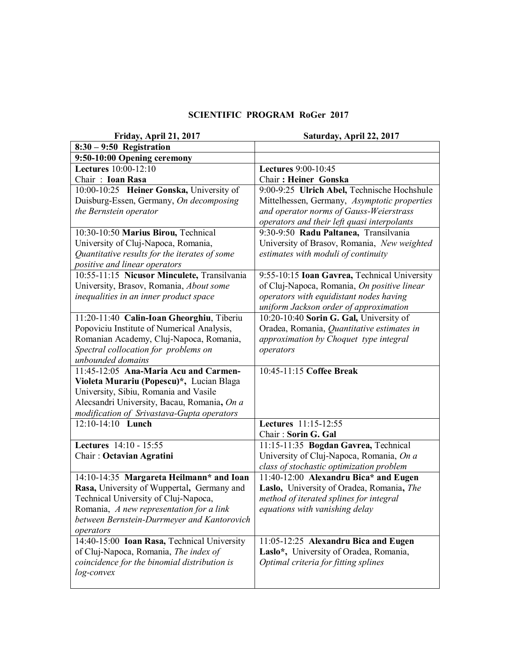## **SCIENTIFIC PROGRAM RoGer 2017**

| Friday, April 21, 2017                        | Saturday, April 22, 2017                     |
|-----------------------------------------------|----------------------------------------------|
| $8:30 - 9:50$ Registration                    |                                              |
| 9:50-10:00 Opening ceremony                   |                                              |
| <b>Lectures</b> 10:00-12:10                   | <b>Lectures</b> 9:00-10:45                   |
| Chair: Ioan Rasa                              | Chair: Heiner Gonska                         |
| 10:00-10:25 Heiner Gonska, University of      | 9:00-9:25 Ulrich Abel, Technische Hochshule  |
| Duisburg-Essen, Germany, On decomposing       | Mittelhessen, Germany, Asymptotic properties |
| the Bernstein operator                        | and operator norms of Gauss-Weierstrass      |
|                                               | operators and their left quasi interpolants  |
| 10:30-10:50 Marius Birou, Technical           | 9:30-9:50 Radu Paltanea, Transilvania        |
| University of Cluj-Napoca, Romania,           | University of Brasov, Romania, New weighted  |
| Quantitative results for the iterates of some | estimates with moduli of continuity          |
| positive and linear operators                 |                                              |
| 10:55-11:15 Nicusor Minculete, Transilvania   | 9:55-10:15 Ioan Gavrea, Technical University |
| University, Brasov, Romania, About some       | of Cluj-Napoca, Romania, On positive linear  |
| inequalities in an inner product space        | operators with equidistant nodes having      |
|                                               | uniform Jackson order of approximation       |
| 11:20-11:40 Calin-Ioan Gheorghiu, Tiberiu     | 10:20-10:40 Sorin G. Gal, University of      |
| Popoviciu Institute of Numerical Analysis,    | Oradea, Romania, Quantitative estimates in   |
| Romanian Academy, Cluj-Napoca, Romania,       | approximation by Choquet type integral       |
| Spectral collocation for problems on          | operators                                    |
| unbounded domains                             |                                              |
| 11:45-12:05 Ana-Maria Acu and Carmen-         | 10:45-11:15 Coffee Break                     |
| Violeta Murariu (Popescu)*, Lucian Blaga      |                                              |
| University, Sibiu, Romania and Vasile         |                                              |
| Alecsandri University, Bacau, Romania, On a   |                                              |
| modification of Srivastava-Gupta operators    |                                              |
| $12:10-14:10$ Lunch                           | Lectures 11:15-12:55                         |
|                                               | Chair: Sorin G. Gal                          |
| Lectures 14:10 - 15:55                        | 11:15-11:35 Bogdan Gavrea, Technical         |
| Chair: Octavian Agratini                      | University of Cluj-Napoca, Romania, On a     |
|                                               | class of stochastic optimization problem     |
| 14:10-14:35 Margareta Heilmann* and Ioan      | 11:40-12:00 Alexandru Bica* and Eugen        |
| Rasa, University of Wuppertal, Germany and    | Laslo, University of Oradea, Romania, The    |
| Technical University of Cluj-Napoca,          | method of iterated splines for integral      |
| Romania, A new representation for a link      | equations with vanishing delay               |
| between Bernstein-Durrmeyer and Kantorovich   |                                              |
| operators                                     |                                              |
| 14:40-15:00 Ioan Rasa, Technical University   | 11:05-12:25 Alexandru Bica and Eugen         |
| of Cluj-Napoca, Romania, The index of         | Laslo*, University of Oradea, Romania,       |
| coincidence for the binomial distribution is  | Optimal criteria for fitting splines         |
| log-convex                                    |                                              |
|                                               |                                              |